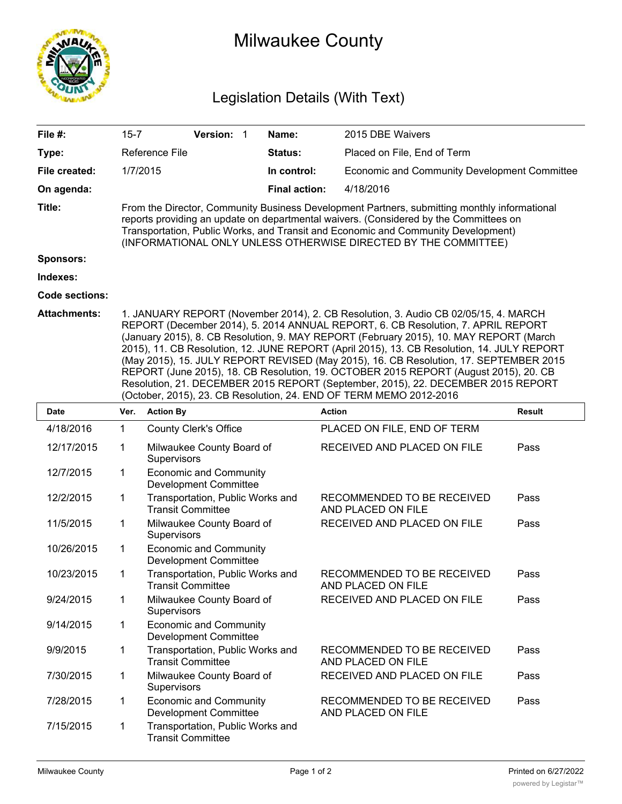

## Milwaukee County

## Legislation Details (With Text)

| File #:               | $15 - 7$                                                                                                                                                                                                                                                                                                                                                                                                                                                                                                                                                                                                                                                                                                   |                                                               | Version: 1 |  | Name:                | 2015 DBE Waivers                                 |               |  |  |
|-----------------------|------------------------------------------------------------------------------------------------------------------------------------------------------------------------------------------------------------------------------------------------------------------------------------------------------------------------------------------------------------------------------------------------------------------------------------------------------------------------------------------------------------------------------------------------------------------------------------------------------------------------------------------------------------------------------------------------------------|---------------------------------------------------------------|------------|--|----------------------|--------------------------------------------------|---------------|--|--|
| Type:                 |                                                                                                                                                                                                                                                                                                                                                                                                                                                                                                                                                                                                                                                                                                            | Reference File                                                |            |  | Status:              | Placed on File, End of Term                      |               |  |  |
| File created:         | 1/7/2015                                                                                                                                                                                                                                                                                                                                                                                                                                                                                                                                                                                                                                                                                                   |                                                               |            |  | In control:          | Economic and Community Development Committee     |               |  |  |
| On agenda:            |                                                                                                                                                                                                                                                                                                                                                                                                                                                                                                                                                                                                                                                                                                            |                                                               |            |  | <b>Final action:</b> | 4/18/2016                                        |               |  |  |
| Title:                | From the Director, Community Business Development Partners, submitting monthly informational<br>reports providing an update on departmental waivers. (Considered by the Committees on<br>Transportation, Public Works, and Transit and Economic and Community Development)<br>(INFORMATIONAL ONLY UNLESS OTHERWISE DIRECTED BY THE COMMITTEE)                                                                                                                                                                                                                                                                                                                                                              |                                                               |            |  |                      |                                                  |               |  |  |
| <b>Sponsors:</b>      |                                                                                                                                                                                                                                                                                                                                                                                                                                                                                                                                                                                                                                                                                                            |                                                               |            |  |                      |                                                  |               |  |  |
| Indexes:              |                                                                                                                                                                                                                                                                                                                                                                                                                                                                                                                                                                                                                                                                                                            |                                                               |            |  |                      |                                                  |               |  |  |
| <b>Code sections:</b> |                                                                                                                                                                                                                                                                                                                                                                                                                                                                                                                                                                                                                                                                                                            |                                                               |            |  |                      |                                                  |               |  |  |
| <b>Attachments:</b>   | 1. JANUARY REPORT (November 2014), 2. CB Resolution, 3. Audio CB 02/05/15, 4. MARCH<br>REPORT (December 2014), 5. 2014 ANNUAL REPORT, 6. CB Resolution, 7. APRIL REPORT<br>(January 2015), 8. CB Resolution, 9. MAY REPORT (February 2015), 10. MAY REPORT (March<br>2015), 11. CB Resolution, 12. JUNE REPORT (April 2015), 13. CB Resolution, 14. JULY REPORT<br>(May 2015), 15. JULY REPORT REVISED (May 2015), 16. CB Resolution, 17. SEPTEMBER 2015<br>REPORT (June 2015), 18. CB Resolution, 19. OCTOBER 2015 REPORT (August 2015), 20. CB<br>Resolution, 21. DECEMBER 2015 REPORT (September, 2015), 22. DECEMBER 2015 REPORT<br>(October, 2015), 23. CB Resolution, 24. END OF TERM MEMO 2012-2016 |                                                               |            |  |                      |                                                  |               |  |  |
| <b>Date</b>           |                                                                                                                                                                                                                                                                                                                                                                                                                                                                                                                                                                                                                                                                                                            | Ver. Action By                                                |            |  |                      | <b>Action</b>                                    | <b>Result</b> |  |  |
| 4/18/2016             | 1                                                                                                                                                                                                                                                                                                                                                                                                                                                                                                                                                                                                                                                                                                          | <b>County Clerk's Office</b>                                  |            |  |                      | PLACED ON FILE, END OF TERM                      |               |  |  |
| 12/17/2015            | 1                                                                                                                                                                                                                                                                                                                                                                                                                                                                                                                                                                                                                                                                                                          | Milwaukee County Board of<br>Supervisors                      |            |  |                      | RECEIVED AND PLACED ON FILE                      | Pass          |  |  |
| 12/7/2015             | 1                                                                                                                                                                                                                                                                                                                                                                                                                                                                                                                                                                                                                                                                                                          | <b>Economic and Community</b><br><b>Development Committee</b> |            |  |                      |                                                  |               |  |  |
| 12/2/2015             | 1                                                                                                                                                                                                                                                                                                                                                                                                                                                                                                                                                                                                                                                                                                          | Transportation, Public Works and<br><b>Transit Committee</b>  |            |  |                      | RECOMMENDED TO BE RECEIVED<br>AND PLACED ON FILE | Pass          |  |  |
| 11/5/2015             | 1                                                                                                                                                                                                                                                                                                                                                                                                                                                                                                                                                                                                                                                                                                          | Milwaukee County Board of<br>Supervisors                      |            |  |                      | RECEIVED AND PLACED ON FILE                      | Pass          |  |  |
| 10/26/2015            | 1                                                                                                                                                                                                                                                                                                                                                                                                                                                                                                                                                                                                                                                                                                          | <b>Economic and Community</b><br><b>Development Committee</b> |            |  |                      |                                                  |               |  |  |
| 10/23/2015            | 1                                                                                                                                                                                                                                                                                                                                                                                                                                                                                                                                                                                                                                                                                                          | Transportation, Public Works and<br>Transit Committee         |            |  |                      | RECOMMENDED TO BE RECEIVED<br>AND PLACED ON FILE | Pass          |  |  |
| 9/24/2015             | 1                                                                                                                                                                                                                                                                                                                                                                                                                                                                                                                                                                                                                                                                                                          | Milwaukee County Board of<br>Supervisors                      |            |  |                      | RECEIVED AND PLACED ON FILE                      | Pass          |  |  |
| 9/14/2015             | 1                                                                                                                                                                                                                                                                                                                                                                                                                                                                                                                                                                                                                                                                                                          | <b>Economic and Community</b><br><b>Development Committee</b> |            |  |                      |                                                  |               |  |  |
| 9/9/2015              | 1                                                                                                                                                                                                                                                                                                                                                                                                                                                                                                                                                                                                                                                                                                          | Transportation, Public Works and<br><b>Transit Committee</b>  |            |  |                      | RECOMMENDED TO BE RECEIVED<br>AND PLACED ON FILE | Pass          |  |  |
| 7/30/2015             | 1                                                                                                                                                                                                                                                                                                                                                                                                                                                                                                                                                                                                                                                                                                          | Milwaukee County Board of<br>Supervisors                      |            |  |                      | RECEIVED AND PLACED ON FILE                      | Pass          |  |  |
| 7/28/2015             | 1                                                                                                                                                                                                                                                                                                                                                                                                                                                                                                                                                                                                                                                                                                          | <b>Economic and Community</b>                                 |            |  |                      | RECOMMENDED TO BE RECEIVED                       | Pass          |  |  |

Development Committee Transportation, Public Works and Transit Committee 7/15/2015 1

AND PLACED ON FILE